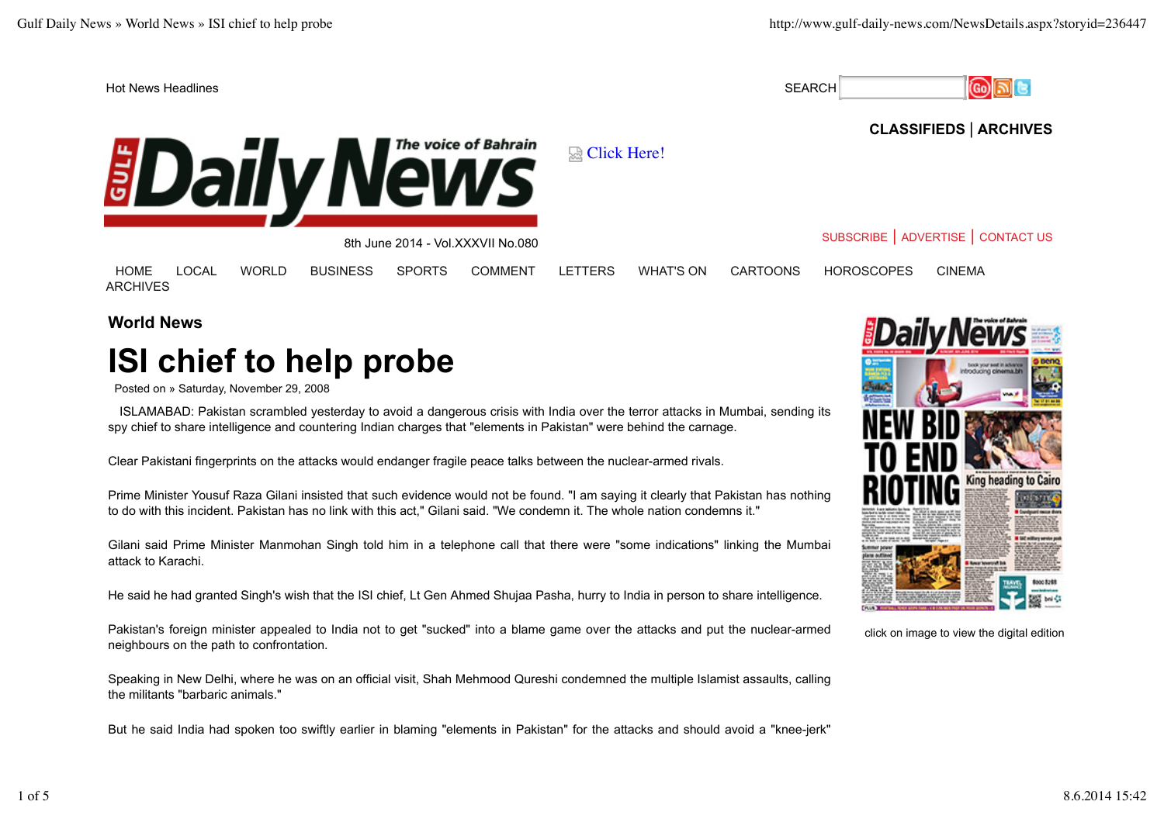

## **CLASSIFIEDS** | **ARCHIVES**

SUBSCRIBE | ADVERTISE | CONTACT US



|  | $0.011$ Julie 2014 - VOI.AAA VII 190.000 |  |
|--|------------------------------------------|--|
|  |                                          |  |
|  |                                          |  |

HOME LOCAL WORLD BUSINESS SPORTS COMMENT LETTERS WHAT'S ON CARTOONS HOROSCOPES CINEMA ARCHIVES

**World News**

## **ISI chief to help probe**

Posted on » Saturday, November 29, 2008

ISLAMABAD: Pakistan scrambled yesterday to avoid a dangerous crisis with India over the terror attacks in Mumbai, sending its spy chief to share intelligence and countering Indian charges that "elements in Pakistan" were behind the carnage.

Clear Pakistani fingerprints on the attacks would endanger fragile peace talks between the nuclear-armed rivals.

Prime Minister Yousuf Raza Gilani insisted that such evidence would not be found. "I am saying it clearly that Pakistan has nothing to do with this incident. Pakistan has no link with this act," Gilani said. "We condemn it. The whole nation condemns it."

Gilani said Prime Minister Manmohan Singh told him in a telephone call that there were "some indications" linking the Mumbai attack to Karachi.

He said he had granted Singh's wish that the ISI chief, Lt Gen Ahmed Shujaa Pasha, hurry to India in person to share intelligence.

Pakistan's foreign minister appealed to India not to get "sucked" into a blame game over the attacks and put the nuclear-armed neighbours on the path to confrontation.

Speaking in New Delhi, where he was on an official visit, Shah Mehmood Qureshi condemned the multiple Islamist assaults, calling the militants "barbaric animals."

But he said India had spoken too swiftly earlier in blaming "elements in Pakistan" for the attacks and should avoid a "knee-jerk"



click on image to view the digital edition